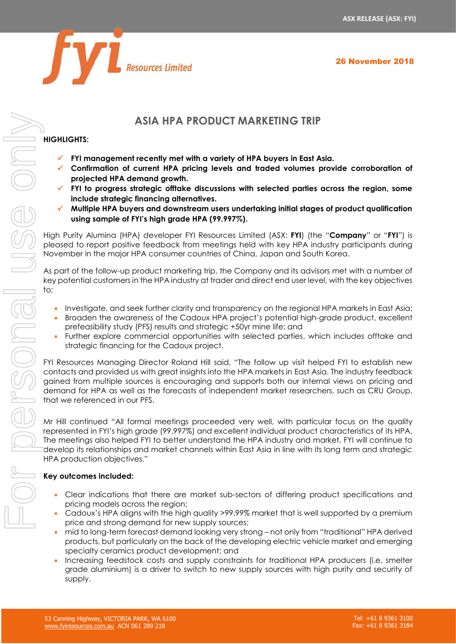



# **ASIA HPA PRODUCT MARKETING TRIP**

# **HIGHLIGHTS:**

- ✓ **FYI management recently met with a variety of HPA buyers in East Asia.**
- ✓ **Confirmation of current HPA pricing levels and traded volumes provide corroboration of projected HPA demand growth.**
- ✓ **FYI to progress strategic offtake discussions with selected parties across the region, some include strategic financing alternatives.**
- ✓ **Multiple HPA buyers and downstream users undertaking initial stages of product qualification using sample of FYI's high grade HPA (99.997%).**

High Purity Alumina (HPA) developer FYI Resources Limited (ASX: **FYI**) (the "**Company**" or "**FYI**") is pleased to report positive feedback from meetings held with key HPA industry participants during November in the major HPA consumer countries of China, Japan and South Korea.

As part of the follow-up product marketing trip, the Company and its advisors met with a number of key potential customers in the HPA industry at trader and direct end user level, with the key objectives  $t^{\circ}$ .

- Investigate, and seek further clarity and transparency on the regional HPA markets in East Asia;
- Broaden the awareness of the Cadoux HPA project's potential high-grade product, excellent prefeasibility study (PFS) results and strategic +50yr mine life; and
- Further explore commercial opportunities with selected parties, which includes offtake and strategic financing for the Cadoux project.

FYI Resources Managing Director Roland Hill said, "The follow up visit helped FYI to establish new contacts and provided us with great insights into the HPA markets in East Asia. The industry feedback gained from multiple sources is encouraging and supports both our internal views on pricing and demand for HPA as well as the forecasts of independent market researchers, such as CRU Group, that we referenced in our PFS.

Mr Hill continued "All formal meetings proceeded very well, with particular focus on the quality represented in FYI's high grade (99.997%) and excellent individual product characteristics of its HPA. The meetings also helped FYI to better understand the HPA industry and market. FYI will continue to develop its relationships and market channels within East Asia in line with its long term and strategic HPA production objectives."

# **Key outcomes included:**

- Clear indications that there are market sub-sectors of differing product specifications and pricing models across the region;
- Cadoux's HPA aligns with the high quality >99.99% market that is well supported by a premium price and strong demand for new supply sources;
- mid to long-term forecast demand looking very strong not only from "traditional" HPA derived products, but particularly on the back of the developing electric vehicle market and emerging specialty ceramics product development; and
- Increasing feedstock costs and supply constraints for traditional HPA producers (i.e. smelter grade aluminium) is a driver to switch to new supply sources with high purity and security of supply.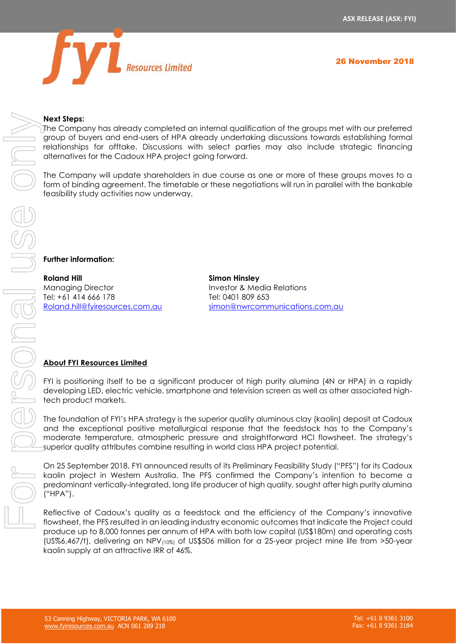

## **Next Steps:**

The Company has already completed an internal qualification of the groups met with our preferred group of buyers and end-users of HPA already undertaking discussions towards establishing formal relationships for offtake. Discussions with select parties may also include strategic financing alternatives for the Cadoux HPA project going forward.

The Company will update shareholders in due course as one or more of these groups moves to a form of binding agreement. The timetable or these negotiations will run in parallel with the bankable feasibility study activities now underway.

# **Further information:**

**Roland Hill Simon Hinsley** Managing Director **Investor & Media Relations** Tel: +61 414 666 178 Tel: 0401 809 653

[Roland.hill@fyiresources.com.au](mailto:Roland.hill@fyiresources.com.au) [simon@nwrcommunications.com.au](mailto:simon@nwrcommunications.com.au)

# **About FYI Resources Limited**

FYI is positioning itself to be a significant producer of high purity alumina (4N or HPA) in a rapidly developing LED, electric vehicle, smartphone and television screen as well as other associated hightech product markets.

The foundation of FYI's HPA strategy is the superior quality aluminous clay (kaolin) deposit at Cadoux and the exceptional positive metallurgical response that the feedstock has to the Company's moderate temperature, atmospheric pressure and straightforward HCl flowsheet. The strategy's superior quality attributes combine resulting in world class HPA project potential.

On 25 September 2018, FYI announced results of its Preliminary Feasibility Study ("PFS") for its Cadoux kaolin project in Western Australia. The PFS confirmed the Company's intention to become a predominant vertically-integrated, long life producer of high quality, sought after high purity alumina ("HPA").

Reflective of Cadoux's quality as a feedstock and the efficiency of the Company's innovative flowsheet, the PFS resulted in an leading industry economic outcomes that indicate the Project could produce up to 8,000 tonnes per annum of HPA with both low capital (US\$180m) and operating costs (US%6,467/t), delivering an NPV(10%) of US\$506 million for a 25-year project mine life from >50-year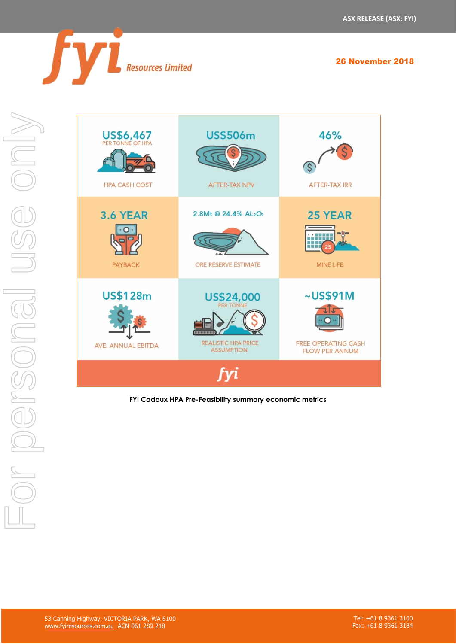

26 November 2018



**FYI Cadoux HPA Pre-Feasibility summary economic metrics**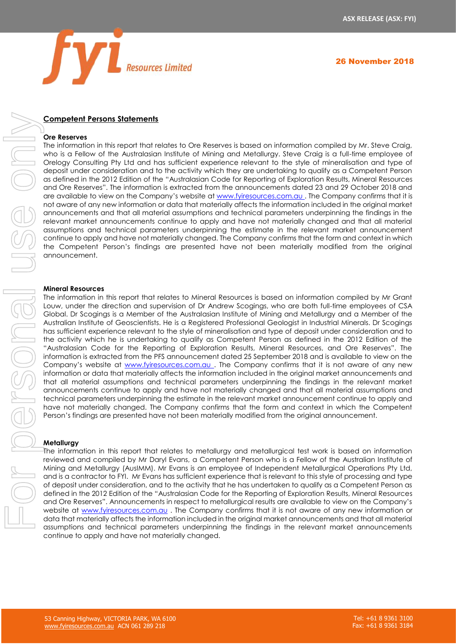

# **Competent Persons Statements**

#### **Ore Reserves**

The information in this report that relates to Ore Reserves is based on information compiled by Mr. Steve Craig, who is a Fellow of the Australasian Institute of Mining and Metallurgy. Steve Craig is a full-time employee of Orelogy Consulting Pty Ltd and has sufficient experience relevant to the style of mineralisation and type of deposit under consideration and to the activity which they are undertaking to qualify as a Competent Person as defined in the 2012 Edition of the "Australasian Code for Reporting of Exploration Results, Mineral Resources and Ore Reserves". The information is extracted from the announcements dated 23 and 29 October 2018 and are available to view on the Company's website at [www.fyiresources.com.au](http://www.fyiresources.com.au/). The Company confirms that it is not aware of any new information or data that materially affects the information included in the original market announcements and that all material assumptions and technical parameters underpinning the findings in the relevant market announcements continue to apply and have not materially changed and that all material assumptions and technical parameters underpinning the estimate in the relevant market announcement continue to apply and have not materially changed. The Company confirms that the form and context in which the Competent Person's findings are presented have not been materially modified from the original announcement.

#### **Mineral Resources**

The information in this report that relates to Mineral Resources is based on information compiled by Mr Grant Louw, under the direction and supervision of Dr Andrew Scogings, who are both full-time employees of CSA Global. Dr Scogings is a Member of the Australasian Institute of Mining and Metallurgy and a Member of the Australian Institute of Geoscientists. He is a Registered Professional Geologist in Industrial Minerals. Dr Scogings has sufficient experience relevant to the style of mineralisation and type of deposit under consideration and to the activity which he is undertaking to qualify as Competent Person as defined in the 2012 Edition of the "Australasian Code for the Reporting of Exploration Results, Mineral Resources, and Ore Reserves". The information is extracted from the PFS announcement dated 25 September 2018 and is available to view on the Company's website at [www.fyiresources.com.au](http://www.fyiresources.com.au/) . The Company confirms that it is not aware of any new information or data that materially affects the information included in the original market announcements and that all material assumptions and technical parameters underpinning the findings in the relevant market announcements continue to apply and have not materially changed and that all material assumptions and technical parameters underpinning the estimate in the relevant market announcement continue to apply and have not materially changed. The Company confirms that the form and context in which the Competent Person's findings are presented have not been materially modified from the original announcement. **Someters Pressuments**<br> **Sometives and the statistical parameters under the relevant market and the statistical parameters in the finding of the relevant market and the statistical parameters under the relevant market and** 

#### **Metallurgy**

The information in this report that relates to metallurgy and metallurgical test work is based on information reviewed and compiled by Mr Daryl Evans, a Competent Person who is a Fellow of the Australian Institute of Mining and Metallurgy (AusIMM). Mr Evans is an employee of Independent Metallurgical Operations Pty Ltd, and is a contractor to FYI. Mr Evans has sufficient experience that is relevant to this style of processing and type of deposit under consideration, and to the activity that he has undertaken to qualify as a Competent Person as defined in the 2012 Edition of the "Australasian Code for the Reporting of Exploration Results, Mineral Resources and Ore Reserves". Announcements in respect to metallurgical results are available to view on the Company's website at [www.fyiresources.com.au](http://www.fyiresources.com.au/) . The Company confirms that it is not aware of any new information or data that materially affects the information included in the original market announcements and that all material continue to apply and have not materially changed.